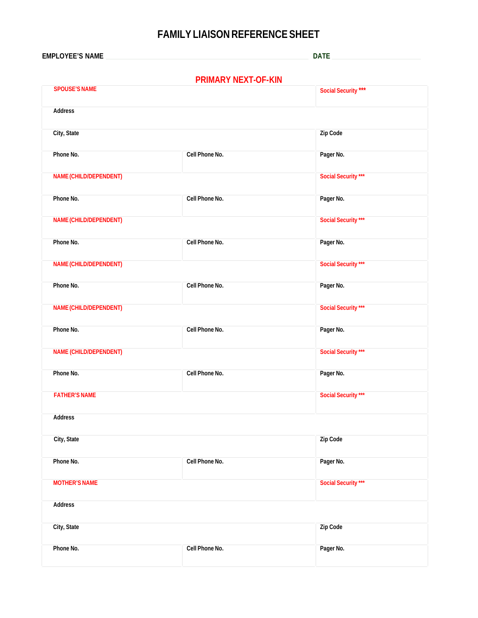## **FAMILY LIAISON REFERENCE SHEET**

**EMPLOYEE'S NAME DATE** 

# **PRIMARY NEXT-OF-KIN**

| <b>SPOUSE'S NAME</b>   |                | Social Security *** |
|------------------------|----------------|---------------------|
| Address                |                |                     |
| City, State            |                | Zip Code            |
| Phone No.              | Cell Phone No. | Pager No.           |
| NAME (CHILD/DEPENDENT) |                | Social Security *** |
| Phone No.              | Cell Phone No. | Pager No.           |
| NAME (CHILD/DEPENDENT) |                | Social Security *** |
| Phone No.              | Cell Phone No. | Pager No.           |
| NAME (CHILD/DEPENDENT) |                | Social Security *** |
| Phone No.              | Cell Phone No. | Pager No.           |
| NAME (CHILD/DEPENDENT) |                | Social Security *** |
| Phone No.              | Cell Phone No. | Pager No.           |
| NAME (CHILD/DEPENDENT) |                | Social Security *** |
| Phone No.              | Cell Phone No. | Pager No.           |
| <b>FATHER'S NAME</b>   |                | Social Security *** |
| Address                |                |                     |
| City, State            |                | Zip Code            |
| Phone No.              | Cell Phone No. | Pager No.           |
| <b>MOTHER'S NAME</b>   |                | Social Security *** |
| Address                |                |                     |
| City, State            |                | Zip Code            |
| Phone No.              | Cell Phone No. | Pager No.           |
|                        |                |                     |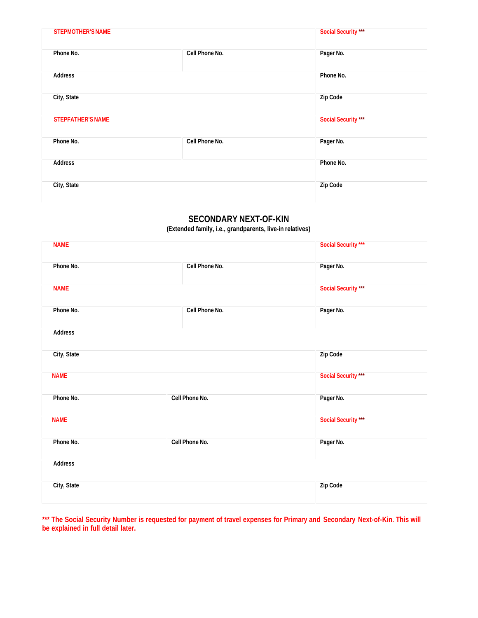| <b>STEPMOTHER'S NAME</b> |                | Social Security *** |
|--------------------------|----------------|---------------------|
| Phone No.                | Cell Phone No. | Pager No.           |
| Address                  |                | Phone No.           |
| City, State              |                | Zip Code            |
| <b>STEPFATHER'S NAME</b> |                | Social Security *** |
| Phone No.                | Cell Phone No. | Pager No.           |
| <b>Address</b>           |                | Phone No.           |
| City, State              |                | Zip Code            |
|                          |                |                     |

#### **SECONDARY NEXT-OF-KIN**

**(Extended family, i.e., grandparents, live-in relatives)** 

| <b>NAME</b> |                | Social Security *** |
|-------------|----------------|---------------------|
| Phone No.   | Cell Phone No. | Pager No.           |
| <b>NAME</b> |                | Social Security *** |
| Phone No.   | Cell Phone No. | Pager No.           |
| Address     |                |                     |
| City, State |                | Zip Code            |
| <b>NAME</b> |                | Social Security *** |
| Phone No.   | Cell Phone No. | Pager No.           |
| <b>NAME</b> |                | Social Security *** |
| Phone No.   | Cell Phone No. | Pager No.           |
| Address     |                |                     |
| City, State |                | Zip Code            |

**\*\*\* The Social Security Number is requested for payment of travel expenses for Primary and Secondary Next-of-Kin. This will be explained in full detail later.**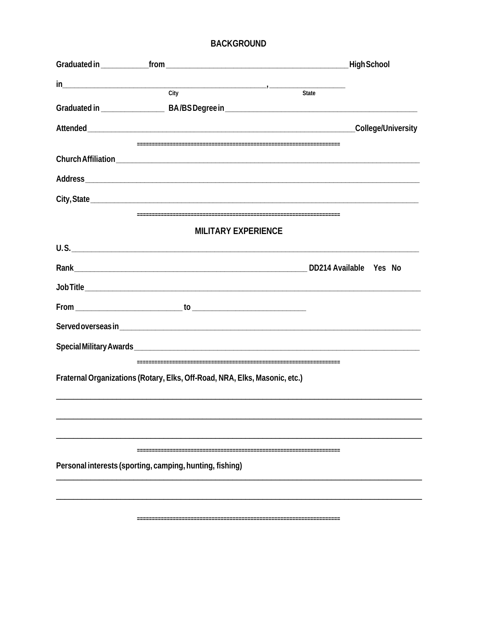#### **BACKGROUND**

| $\frac{1}{\text{City}}$                                                    |                    |  |
|----------------------------------------------------------------------------|--------------------|--|
|                                                                            | State              |  |
|                                                                            |                    |  |
|                                                                            | College/University |  |
|                                                                            |                    |  |
|                                                                            |                    |  |
|                                                                            |                    |  |
|                                                                            |                    |  |
|                                                                            |                    |  |
| <b>MILITARY EXPERIENCE</b>                                                 |                    |  |
| U.S.                                                                       |                    |  |
|                                                                            |                    |  |
|                                                                            |                    |  |
|                                                                            |                    |  |
|                                                                            |                    |  |
|                                                                            |                    |  |
|                                                                            |                    |  |
| Fraternal Organizations (Rotary, Elks, Off-Road, NRA, Elks, Masonic, etc.) |                    |  |
|                                                                            |                    |  |
|                                                                            |                    |  |
|                                                                            |                    |  |
|                                                                            |                    |  |
| Personal interests (sporting, camping, hunting, fishing)                   |                    |  |
|                                                                            |                    |  |
|                                                                            |                    |  |
|                                                                            |                    |  |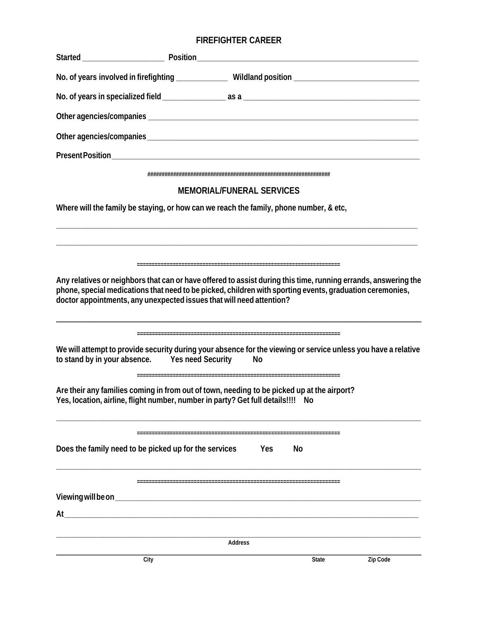### **FIREFIGHTER CAREER**

| No. of years involved in firefighting ________________Wildland position ____________________________<br>MEMORIAL/FUNERAL SERVICES<br>Where will the family be staying, or how can we reach the family, phone number, & etc,<br>Any relatives or neighbors that can or have offered to assist during this time, running errands, answering the<br>phone, special medications that need to be picked, children with sporting events, graduation ceremonies,<br>doctor appointments, any unexpected issues that will need attention?<br>We will attempt to provide security during your absence for the viewing or service unless you have a relative<br>to stand by in your absence. Yes need Security<br>No<br>Are their any families coming in from out of town, needing to be picked up at the airport?<br>Yes, location, airline, flight number, number in party? Get full details!!!! No<br>Does the family need to be picked up for the services<br>Yes<br>No<br>Address<br>Zip Code<br>City<br>State |    |  |  |
|-----------------------------------------------------------------------------------------------------------------------------------------------------------------------------------------------------------------------------------------------------------------------------------------------------------------------------------------------------------------------------------------------------------------------------------------------------------------------------------------------------------------------------------------------------------------------------------------------------------------------------------------------------------------------------------------------------------------------------------------------------------------------------------------------------------------------------------------------------------------------------------------------------------------------------------------------------------------------------------------------------------|----|--|--|
|                                                                                                                                                                                                                                                                                                                                                                                                                                                                                                                                                                                                                                                                                                                                                                                                                                                                                                                                                                                                           |    |  |  |
|                                                                                                                                                                                                                                                                                                                                                                                                                                                                                                                                                                                                                                                                                                                                                                                                                                                                                                                                                                                                           |    |  |  |
|                                                                                                                                                                                                                                                                                                                                                                                                                                                                                                                                                                                                                                                                                                                                                                                                                                                                                                                                                                                                           |    |  |  |
|                                                                                                                                                                                                                                                                                                                                                                                                                                                                                                                                                                                                                                                                                                                                                                                                                                                                                                                                                                                                           |    |  |  |
|                                                                                                                                                                                                                                                                                                                                                                                                                                                                                                                                                                                                                                                                                                                                                                                                                                                                                                                                                                                                           |    |  |  |
|                                                                                                                                                                                                                                                                                                                                                                                                                                                                                                                                                                                                                                                                                                                                                                                                                                                                                                                                                                                                           |    |  |  |
|                                                                                                                                                                                                                                                                                                                                                                                                                                                                                                                                                                                                                                                                                                                                                                                                                                                                                                                                                                                                           |    |  |  |
|                                                                                                                                                                                                                                                                                                                                                                                                                                                                                                                                                                                                                                                                                                                                                                                                                                                                                                                                                                                                           |    |  |  |
|                                                                                                                                                                                                                                                                                                                                                                                                                                                                                                                                                                                                                                                                                                                                                                                                                                                                                                                                                                                                           |    |  |  |
|                                                                                                                                                                                                                                                                                                                                                                                                                                                                                                                                                                                                                                                                                                                                                                                                                                                                                                                                                                                                           |    |  |  |
|                                                                                                                                                                                                                                                                                                                                                                                                                                                                                                                                                                                                                                                                                                                                                                                                                                                                                                                                                                                                           |    |  |  |
|                                                                                                                                                                                                                                                                                                                                                                                                                                                                                                                                                                                                                                                                                                                                                                                                                                                                                                                                                                                                           |    |  |  |
|                                                                                                                                                                                                                                                                                                                                                                                                                                                                                                                                                                                                                                                                                                                                                                                                                                                                                                                                                                                                           |    |  |  |
|                                                                                                                                                                                                                                                                                                                                                                                                                                                                                                                                                                                                                                                                                                                                                                                                                                                                                                                                                                                                           |    |  |  |
|                                                                                                                                                                                                                                                                                                                                                                                                                                                                                                                                                                                                                                                                                                                                                                                                                                                                                                                                                                                                           | At |  |  |
|                                                                                                                                                                                                                                                                                                                                                                                                                                                                                                                                                                                                                                                                                                                                                                                                                                                                                                                                                                                                           |    |  |  |
|                                                                                                                                                                                                                                                                                                                                                                                                                                                                                                                                                                                                                                                                                                                                                                                                                                                                                                                                                                                                           |    |  |  |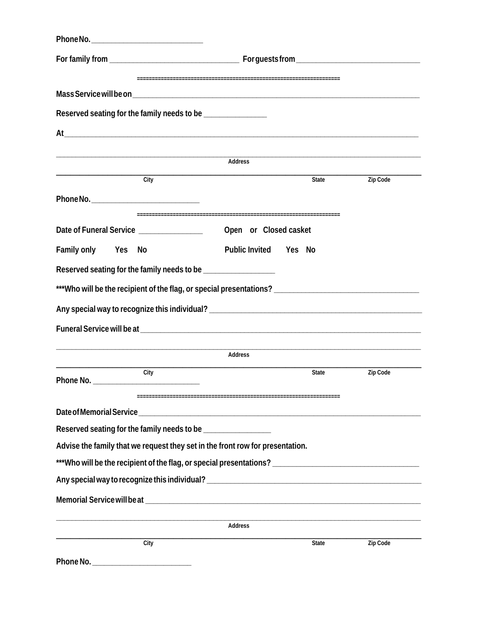| Reserved seating for the family needs to be _________________ |                                                                                                     |          |
|---------------------------------------------------------------|-----------------------------------------------------------------------------------------------------|----------|
|                                                               | At                                                                                                  |          |
|                                                               |                                                                                                     |          |
|                                                               | Address                                                                                             |          |
| $\overline{City}$                                             | State                                                                                               | Zip Code |
|                                                               |                                                                                                     |          |
| Date of Funeral Service _______________                       | Open or Closed casket                                                                               |          |
| Family only Yes No                                            | Public Invited Yes No                                                                               |          |
|                                                               | Reserved seating for the family needs to be __________________                                      |          |
|                                                               | ***Who will be the recipient of the flag, or special presentations? _______________________________ |          |
|                                                               |                                                                                                     |          |
|                                                               |                                                                                                     |          |
|                                                               |                                                                                                     |          |
|                                                               | Address                                                                                             |          |
| City<br>Phone No.                                             | State                                                                                               | Zip Code |
|                                                               |                                                                                                     |          |
|                                                               | Reserved seating for the family needs to be __________________                                      |          |
|                                                               | Advise the family that we request they set in the front row for presentation.                       |          |
|                                                               | ***Who will be the recipient of the flag, or special presentations? _______________________________ |          |
|                                                               |                                                                                                     |          |
|                                                               |                                                                                                     |          |
|                                                               | Address                                                                                             |          |
| City                                                          | State                                                                                               | Zip Code |
|                                                               |                                                                                                     |          |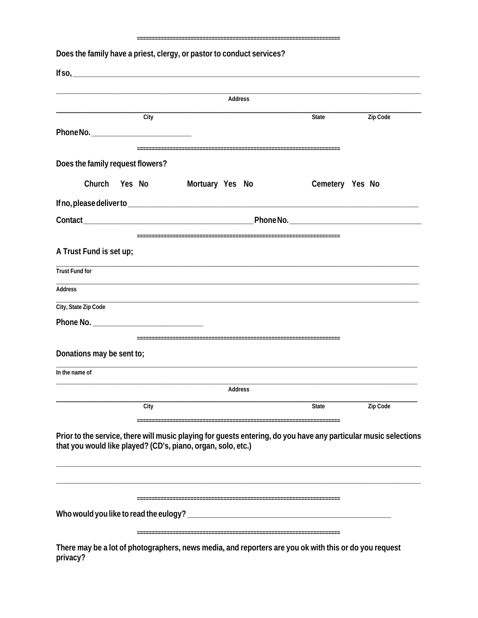#### 

Does the family have a priest, clergy, or pastor to conduct services?

| $If so, \underline{\hspace{1cm}} \underline{\hspace{1cm}} \underline{\hspace{1cm}} \underline{\hspace{1cm}} \underline{\hspace{1cm}} \underline{\hspace{1cm}} \underline{\hspace{1cm}} \underline{\hspace{1cm}} \underline{\hspace{1cm}} \underline{\hspace{1cm}} \underline{\hspace{1cm}} \underline{\hspace{1cm}} \underline{\hspace{1cm}} \underline{\hspace{1cm}} \underline{\hspace{1cm}} \underline{\hspace{1cm}} \underline{\hspace{1cm}} \underline{\hspace{1cm}} \underline{\hspace{1cm}} \underline{\hspace{1cm}} \underline{\hspace{1cm}} \underline{\hspace{1cm}} \underline{\hspace{1cm}} \underline{\hspace{1cm}} \$ |        |                                                                                                                                                                                 |                 |          |
|------------------------------------------------------------------------------------------------------------------------------------------------------------------------------------------------------------------------------------------------------------------------------------------------------------------------------------------------------------------------------------------------------------------------------------------------------------------------------------------------------------------------------------------------------------------------------------------------------------------------------------|--------|---------------------------------------------------------------------------------------------------------------------------------------------------------------------------------|-----------------|----------|
|                                                                                                                                                                                                                                                                                                                                                                                                                                                                                                                                                                                                                                    |        | Address                                                                                                                                                                         |                 |          |
|                                                                                                                                                                                                                                                                                                                                                                                                                                                                                                                                                                                                                                    | City   |                                                                                                                                                                                 | State           | Zip Code |
|                                                                                                                                                                                                                                                                                                                                                                                                                                                                                                                                                                                                                                    |        |                                                                                                                                                                                 |                 |          |
| Does the family request flowers?                                                                                                                                                                                                                                                                                                                                                                                                                                                                                                                                                                                                   |        |                                                                                                                                                                                 |                 |          |
| Church                                                                                                                                                                                                                                                                                                                                                                                                                                                                                                                                                                                                                             | Yes No | Mortuary Yes No                                                                                                                                                                 | Cemetery Yes No |          |
|                                                                                                                                                                                                                                                                                                                                                                                                                                                                                                                                                                                                                                    |        |                                                                                                                                                                                 |                 |          |
|                                                                                                                                                                                                                                                                                                                                                                                                                                                                                                                                                                                                                                    |        |                                                                                                                                                                                 |                 |          |
|                                                                                                                                                                                                                                                                                                                                                                                                                                                                                                                                                                                                                                    |        |                                                                                                                                                                                 |                 |          |
| A Trust Fund is set up;                                                                                                                                                                                                                                                                                                                                                                                                                                                                                                                                                                                                            |        |                                                                                                                                                                                 |                 |          |
| <b>Trust Fund for</b>                                                                                                                                                                                                                                                                                                                                                                                                                                                                                                                                                                                                              |        |                                                                                                                                                                                 |                 |          |
| Address                                                                                                                                                                                                                                                                                                                                                                                                                                                                                                                                                                                                                            |        |                                                                                                                                                                                 |                 |          |
| City, State Zip Code                                                                                                                                                                                                                                                                                                                                                                                                                                                                                                                                                                                                               |        |                                                                                                                                                                                 |                 |          |
|                                                                                                                                                                                                                                                                                                                                                                                                                                                                                                                                                                                                                                    |        |                                                                                                                                                                                 |                 |          |
| Donations may be sent to;                                                                                                                                                                                                                                                                                                                                                                                                                                                                                                                                                                                                          |        |                                                                                                                                                                                 |                 |          |
| In the name of                                                                                                                                                                                                                                                                                                                                                                                                                                                                                                                                                                                                                     |        |                                                                                                                                                                                 |                 |          |
|                                                                                                                                                                                                                                                                                                                                                                                                                                                                                                                                                                                                                                    |        | Address                                                                                                                                                                         |                 |          |
|                                                                                                                                                                                                                                                                                                                                                                                                                                                                                                                                                                                                                                    | City   |                                                                                                                                                                                 | State           | Zip Code |
|                                                                                                                                                                                                                                                                                                                                                                                                                                                                                                                                                                                                                                    |        | Prior to the service, there will music playing for guests entering, do you have any particular music selections<br>that you would like played? (CD's, piano, organ, solo, etc.) |                 |          |
|                                                                                                                                                                                                                                                                                                                                                                                                                                                                                                                                                                                                                                    |        |                                                                                                                                                                                 |                 |          |
| privacy?                                                                                                                                                                                                                                                                                                                                                                                                                                                                                                                                                                                                                           |        | There may be a lot of photographers, news media, and reporters are you ok with this or do you request                                                                           |                 |          |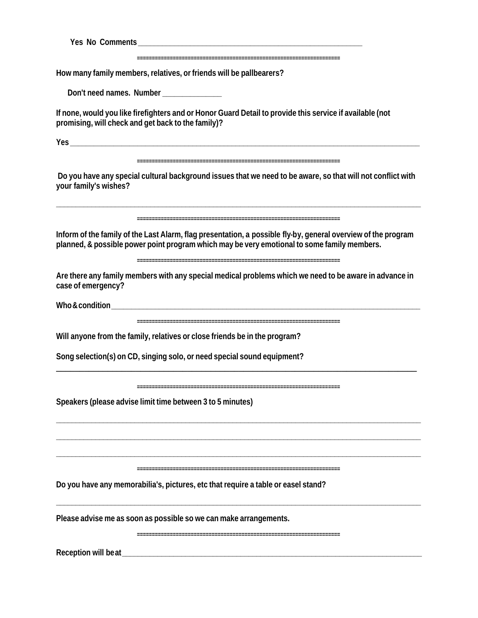| Please advise me as soon as possible so we can make arrangements.                                                                                                                                                              |
|--------------------------------------------------------------------------------------------------------------------------------------------------------------------------------------------------------------------------------|
| Do you have any memorabilia's, pictures, etc that require a table or easel stand?                                                                                                                                              |
| Speakers (please advise limit time between 3 to 5 minutes)                                                                                                                                                                     |
| Song selection(s) on CD, singing solo, or need special sound equipment?                                                                                                                                                        |
| Will anyone from the family, relatives or close friends be in the program?                                                                                                                                                     |
| Who & condition with the condition                                                                                                                                                                                             |
| Are there any family members with any special medical problems which we need to be aware in advance in<br>case of emergency?                                                                                                   |
| Inform of the family of the Last Alarm, flag presentation, a possible fly-by, general overview of the program<br>planned, & possible power point program which may be very emotional to some family members.                   |
| Do you have any special cultural background issues that we need to be aware, so that will not conflict with<br>your family's wishes?                                                                                           |
|                                                                                                                                                                                                                                |
| If none, would you like firefighters and or Honor Guard Detail to provide this service if available (not<br>promising, will check and get back to the family)?                                                                 |
| Don't need names. Number _______________                                                                                                                                                                                       |
| How many family members, relatives, or friends will be pallbearers?                                                                                                                                                            |
| Yes No Comments and the contract of the contract of the contract of the contract of the contract of the contract of the contract of the contract of the contract of the contract of the contract of the contract of the contra |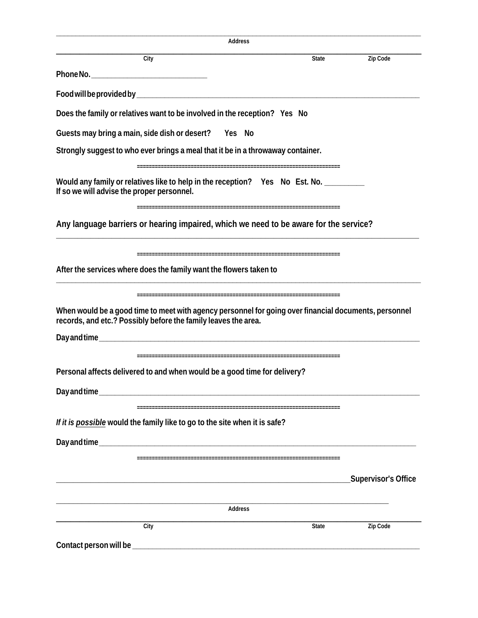| Address                                                                                                                                                                                                                             |       |                     |
|-------------------------------------------------------------------------------------------------------------------------------------------------------------------------------------------------------------------------------------|-------|---------------------|
| City                                                                                                                                                                                                                                | State | Zip Code            |
| Phone No. <b>Example 20</b> Section 20 April 20 Section 20 April 20 Section 20 April 20 Section 20 April 20 Section 20 Section 20 April 20 Section 20 April 20 Section 20 Section 20 Section 20 Section 20 Section 20 Section 20 Se |       |                     |
|                                                                                                                                                                                                                                     |       |                     |
| Does the family or relatives want to be involved in the reception? Yes No                                                                                                                                                           |       |                     |
| Guests may bring a main, side dish or desert? Yes No                                                                                                                                                                                |       |                     |
| Strongly suggest to who ever brings a meal that it be in a throwaway container.                                                                                                                                                     |       |                     |
| Would any family or relatives like to help in the reception? Yes No Est. No. _______<br>If so we will advise the proper personnel.                                                                                                  |       |                     |
| Any language barriers or hearing impaired, which we need to be aware for the service?                                                                                                                                               |       |                     |
| After the services where does the family want the flowers taken to                                                                                                                                                                  |       |                     |
| When would be a good time to meet with agency personnel for going over financial documents, personnel<br>records, and etc.? Possibly before the family leaves the area.                                                             |       |                     |
| Personal affects delivered to and when would be a good time for delivery?                                                                                                                                                           |       |                     |
| If it is possible would the family like to go to the site when it is safe?                                                                                                                                                          |       |                     |
|                                                                                                                                                                                                                                     |       | Supervisor's Office |
| Address                                                                                                                                                                                                                             |       |                     |
| City                                                                                                                                                                                                                                | State | Zip Code            |
|                                                                                                                                                                                                                                     |       |                     |